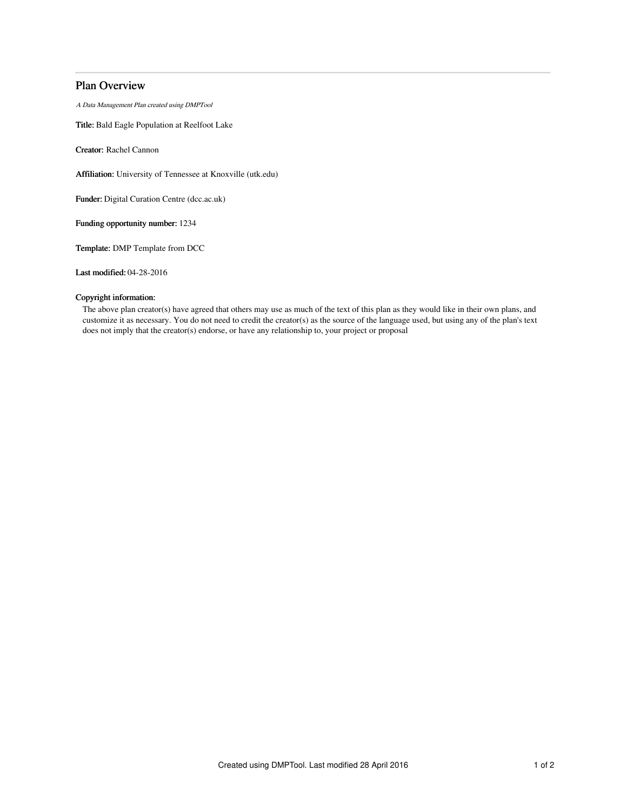# Plan Overview

A Data Management Plan created using DMPTool

Title: Bald Eagle Population at Reelfoot Lake

Creator: Rachel Cannon

Affiliation: University of Tennessee at Knoxville (utk.edu)

Funder: Digital Curation Centre (dcc.ac.uk)

Funding opportunity number: 1234

Template: DMP Template from DCC

Last modified: 04-28-2016

## Copyright information:

The above plan creator(s) have agreed that others may use as much of the text of this plan as they would like in their own plans, and customize it as necessary. You do not need to credit the creator(s) as the source of the language used, but using any of the plan's text does not imply that the creator(s) endorse, or have any relationship to, your project or proposal